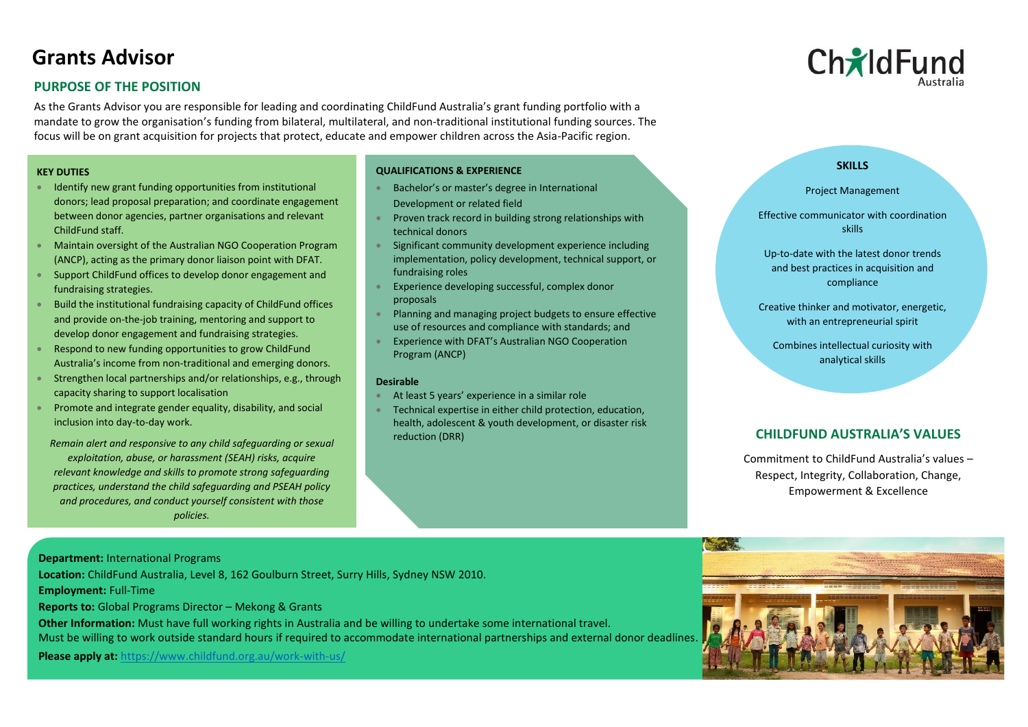# **Grants Advisor**

## **PURPOSE OF THE POSITION**

As the Grants Advisor you are responsible for leading and coordinating ChildFund Australia's grant funding portfolio with a mandate to grow the organisation's funding from bilateral, multilateral, and non-traditional institutional funding sources. The focus will be on grant acquisition for projects that protect, educate and empower children across the Asia-Pacific region.

## **KEY DUTIES**

- Identify new grant funding opportunities from institutional donors; lead proposal preparation; and coordinate engagement between donor agencies, partner organisations and relevant ChildFund staff.
- Maintain oversight of the Australian NGO Cooperation Program (ANCP), acting as the primary donor liaison point with DFAT.
- Support ChildFund offices to develop donor engagement and fundraising strategies.
- Build the institutional fundraising capacity of ChildFund offices and provide on-the-job training, mentoring and support to develop donor engagement and fundraising strategies.
- Respond to new funding opportunities to grow ChildFund Australia's income from non-traditional and emerging donors.
- Strengthen local partnerships and/or relationships, e.g., through capacity sharing to support localisation
- Promote and integrate gender equality, disability, and social inclusion into day-to-day work.

*Remain alert and responsive to any child safeguarding or sexual exploitation, abuse, or harassment (SEAH) risks, acquire relevant knowledge and skills to promote strong safeguarding practices, understand the child safeguarding and PSEAH policy and procedures, and conduct yourself consistent with those policies.*

## **QUALIFICATIONS & EXPERIENCE**

- Bachelor's or master's degree in International Development or related field
- Proven track record in building strong relationships with technical donors
- Significant community development experience including implementation, policy development, technical support, or fundraising roles
- Experience developing successful, complex donor proposals
- Planning and managing project budgets to ensure effective use of resources and compliance with standards; and
- Experience with DFAT's Australian NGO Cooperation Program (ANCP)

## **Desirable**

- At least 5 years' experience in a similar role
- Technical expertise in either child protection, education, health, adolescent & youth development, or disaster risk reduction (DRR) **CHILDFUND AUSTRALIA'S VALUES**



## **SKILLS**

Project Management

Effective communicator with coordination skills

Up-to-date with the latest donor trends and best practices in acquisition and compliance

Creative thinker and motivator, energetic, with an entrepreneurial spirit

Combines intellectual curiosity with analytical skills

Commitment to ChildFund Australia's values – Respect, Integrity, Collaboration, Change, Empowerment & Excellence

**Department:** International Programs

**Location:** ChildFund Australia, Level 8, 162 Goulburn Street, Surry Hills, Sydney NSW 2010.

**Employment:** Full-Time

**Reports to:** Global Programs Director – Mekong & Grants

**Other Information:** Must have full working rights in Australia and be willing to undertake some international travel. Must be willing to work outside standard hours if required to accommodate international partnerships and external donor deadlines.

**Please apply at:** <https://www.childfund.org.au/work-with-us/>